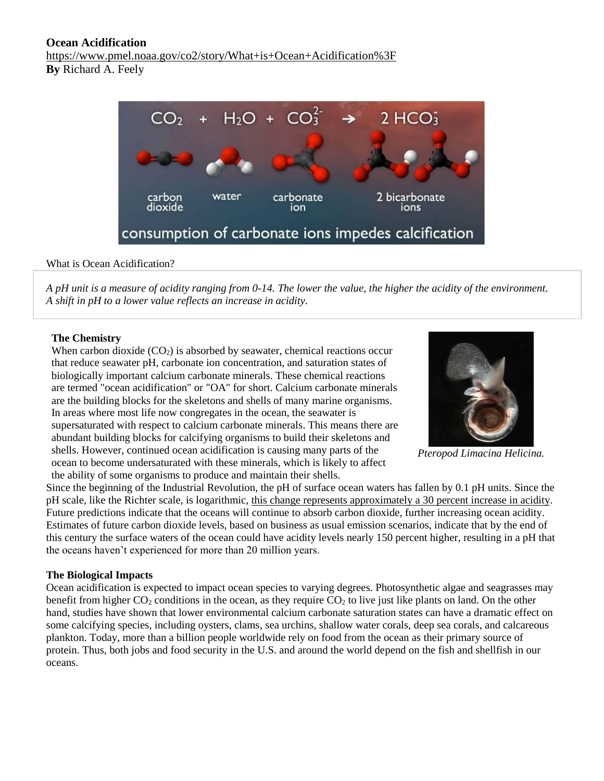# **Ocean Acidification**

<https://www.pmel.noaa.gov/co2/story/What+is+Ocean+Acidification%3F> **By** [Richard](https://www.pmel.noaa.gov/co2/story/Richard++A.+Feely%2C+Ph.D.) A. Feely



## What is Ocean Acidification?

*A pH unit is a measure of acidity ranging from 0-14. The lower the value, the higher the acidity of the environment. A shift in pH to a lower value reflects an increase in acidity.*

## **The Chemistry**

When carbon dioxide  $(CO_2)$  is absorbed by seawater, chemical reactions occur that reduce seawater pH, carbonate ion concentration, and saturation states of biologically important calcium carbonate minerals. These chemical reactions are termed "ocean acidification" or "OA" for short. Calcium carbonate minerals are the building blocks for the skeletons and shells of many marine organisms. In areas where most life now congregates in the ocean, the seawater is supersaturated with respect to calcium carbonate minerals. This means there are abundant building blocks for calcifying organisms to build their skeletons and shells. However, continued ocean acidification is causing many parts of the ocean to become undersaturated with these minerals, which is likely to affect the ability of some organisms to produce and maintain their shells.



*Pteropod Limacina Helicina.*

Since the beginning of the Industrial Revolution, the pH of surface ocean waters has fallen by 0.1 pH units. Since the pH scale, like the Richter scale, is logarithmic, this change represents [approximately](https://www.pmel.noaa.gov/co2/story/A+primer+on+pH) a 30 percent increase in acidity. Future predictions indicate that the oceans will continue to absorb carbon dioxide, further increasing ocean acidity. Estimates of future carbon dioxide levels, based on business as usual emission scenarios, indicate that by the end of this century the surface waters of the ocean could have acidity levels nearly 150 percent higher, resulting in a pH that the oceans haven't experienced for more than 20 million years.

## **The Biological Impacts**

Ocean acidification is expected to impact ocean species to varying degrees. Photosynthetic algae and seagrasses may benefit from higher  $CO_2$  conditions in the ocean, as they require  $CO_2$  to live just like plants on land. On the other hand, studies have shown that lower environmental calcium carbonate saturation states can have a dramatic effect on some calcifying species, including oysters, clams, sea urchins, shallow water corals, deep sea corals, and calcareous plankton. Today, more than a billion people worldwide rely on food from the ocean as their primary source of protein. Thus, both jobs and food security in the U.S. and around the world depend on the fish and shellfish in our oceans.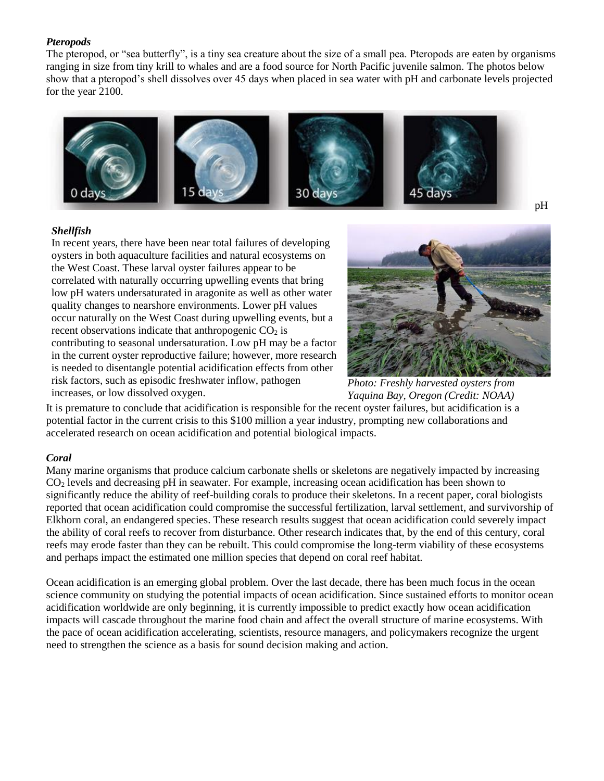## *Pteropods*

The pteropod, or "sea butterfly", is a tiny sea creature about the size of a small pea. Pteropods are eaten by organisms ranging in size from tiny krill to whales and are a food source for North Pacific juvenile salmon. The photos below show that a pteropod's shell dissolves over 45 days when placed in sea water with pH and carbonate levels projected for the year 2100.



### *Shellfish*

In recent years, there have been near total failures of developing oysters in both aquaculture facilities and natural ecosystems on the West Coast. These larval oyster failures appear to be correlated with naturally occurring upwelling events that bring low pH waters undersaturated in aragonite as well as other water quality changes to nearshore environments. Lower pH values occur naturally on the West Coast during upwelling events, but a recent observations indicate that anthropogenic  $CO<sub>2</sub>$  is contributing to seasonal undersaturation. Low pH may be a factor in the current oyster reproductive failure; however, more research is needed to disentangle potential acidification effects from other risk factors, such as episodic freshwater inflow, pathogen increases, or low dissolved oxygen.



*Photo: Freshly harvested oysters from Yaquina Bay, Oregon (Credit: NOAA)*

It is premature to conclude that acidification is responsible for the recent oyster failures, but acidification is a potential factor in the current crisis to this \$100 million a year industry, prompting new [collaborations](http://www.sccwrp.org/Meetings/Workshops/OceanAcidificationWorkshop.aspx) and accelerated research on ocean acidification and potential biological impacts.

## *Coral*

Many marine organisms that produce calcium carbonate shells or skeletons are negatively impacted by increasing CO<sup>2</sup> levels and decreasing pH in seawater. For example, increasing ocean acidification has been shown to significantly reduce the ability of reef-building corals to produce their skeletons. In a [recent](http://www.pnas.org/content/107/47/20400) paper, coral biologists reported that ocean acidification could compromise the successful fertilization, larval settlement, and survivorship of Elkhorn coral, an endangered species. These research results suggest that ocean acidification could severely impact the ability of coral reefs to recover from disturbance. Other research indicates that, by the end of this century, coral reefs may erode faster than they can be rebuilt. This could compromise the long-term viability of these ecosystems and perhaps impact the estimated one million species that depend on coral reef habitat.

Ocean acidification is an emerging global problem. Over the last decade, there has been much focus in the ocean science community on studying the potential impacts of ocean acidification. Since sustained efforts to monitor ocean acidification worldwide are only beginning, it is currently impossible to predict exactly how ocean acidification impacts will cascade throughout the marine food chain and affect the overall structure of marine ecosystems. With the pace of ocean acidification accelerating, scientists, resource managers, and policymakers recognize the urgent need to strengthen the science as a basis for sound decision making and action.

pH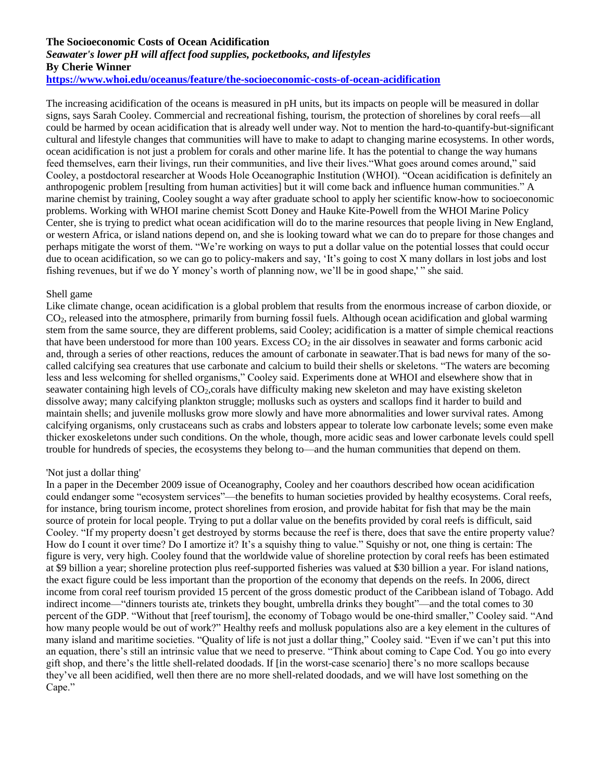### **The Socioeconomic Costs of Ocean Acidification**

### *Seawater's lower pH will affect food supplies, pocketbooks, and lifestyles* **By Cherie Winner <https://www.whoi.edu/oceanus/feature/the-socioeconomic-costs-of-ocean-acidification>**

The increasing acidification of the oceans is measured in pH units, but its impacts on people will be measured in dollar signs, says Sarah Cooley. Commercial and recreational fishing, tourism, the protection of shorelines by coral reefs—all could be harmed by ocean acidification that is already well under way. Not to mention the hard-to-quantify-but-significant cultural and lifestyle changes that communities will have to make to adapt to changing marine ecosystems. In other words, ocean acidification is not just a problem for corals and other marine life. It has the potential to change the way humans feed themselves, earn their livings, run their communities, and live their lives."What goes around comes around," said Cooley, a postdoctoral researcher at Woods Hole Oceanographic Institution (WHOI). "Ocean acidification is definitely an anthropogenic problem [resulting from human activities] but it will come back and influence human communities." A marine chemist by training, Cooley sought a way after graduate school to apply her scientific know-how to socioeconomic problems. Working with WHOI marine chemist Scott Doney and Hauke Kite-Powell from the WHOI Marine Policy Center, she is trying to predict what ocean acidification will do to the marine resources that people living in New England, or western Africa, or island nations depend on, and she is looking toward what we can do to prepare for those changes and perhaps mitigate the worst of them. "We're working on ways to put a dollar value on the potential losses that could occur due to ocean acidification, so we can go to policy-makers and say, 'It's going to cost X many dollars in lost jobs and lost fishing revenues, but if we do Y money's worth of planning now, we'll be in good shape,' " she said.

#### Shell game

Like climate change, ocean acidification is a global problem that results from the enormous increase of carbon dioxide, or CO2, released into the atmosphere, primarily from burning fossil fuels. Although ocean acidification and global warming stem from the same source, they are different problems, said Cooley; acidification is a matter of simple chemical reactions that have been understood for more than 100 years. Excess  $CO<sub>2</sub>$  in the air dissolves in seawater and forms carbonic acid and, through a series of other reactions, reduces the amount of carbonate in seawater.That is bad news for many of the socalled calcifying sea creatures that use carbonate and calcium to build their shells or skeletons. "The waters are becoming less and less welcoming for shelled organisms," Cooley said. Experiments done at WHOI and elsewhere show that in seawater containing high levels of CO2,corals have difficulty making new skeleton and may have existing skeleton dissolve away; many calcifying plankton struggle; mollusks such as oysters and scallops find it harder to build and maintain shells; and juvenile mollusks grow more slowly and have more abnormalities and lower survival rates. Among calcifying organisms, only crustaceans such as crabs and lobsters appear to tolerate low carbonate levels; some even make thicker exoskeletons under such conditions. On the whole, though, more acidic seas and lower carbonate levels could spell trouble for hundreds of species, the ecosystems they belong to—and the human communities that depend on them.

#### 'Not just a dollar thing'

In a paper in the December 2009 issue of Oceanography, Cooley and her coauthors described how ocean acidification could endanger some "ecosystem services"—the benefits to human societies provided by healthy ecosystems. Coral reefs, for instance, bring tourism income, protect shorelines from erosion, and provide habitat for fish that may be the main source of protein for local people. Trying to put a dollar value on the benefits provided by coral reefs is difficult, said Cooley. "If my property doesn't get destroyed by storms because the reef is there, does that save the entire property value? How do I count it over time? Do I amortize it? It's a squishy thing to value." Squishy or not, one thing is certain: The figure is very, very high. Cooley found that the worldwide value of shoreline protection by coral reefs has been estimated at \$9 billion a year; shoreline protection plus reef-supported fisheries was valued at \$30 billion a year. For island nations, the exact figure could be less important than the proportion of the economy that depends on the reefs. In 2006, direct income from coral reef tourism provided 15 percent of the gross domestic product of the Caribbean island of Tobago. Add indirect income—"dinners tourists ate, trinkets they bought, umbrella drinks they bought"—and the total comes to 30 percent of the GDP. "Without that [reef tourism], the economy of Tobago would be one-third smaller," Cooley said. "And how many people would be out of work?" Healthy reefs and mollusk populations also are a key element in the cultures of many island and maritime societies. "Quality of life is not just a dollar thing," Cooley said. "Even if we can't put this into an equation, there's still an intrinsic value that we need to preserve. "Think about coming to Cape Cod. You go into every gift shop, and there's the little shell-related doodads. If [in the worst-case scenario] there's no more scallops because they've all been acidified, well then there are no more shell-related doodads, and we will have lost something on the Cape."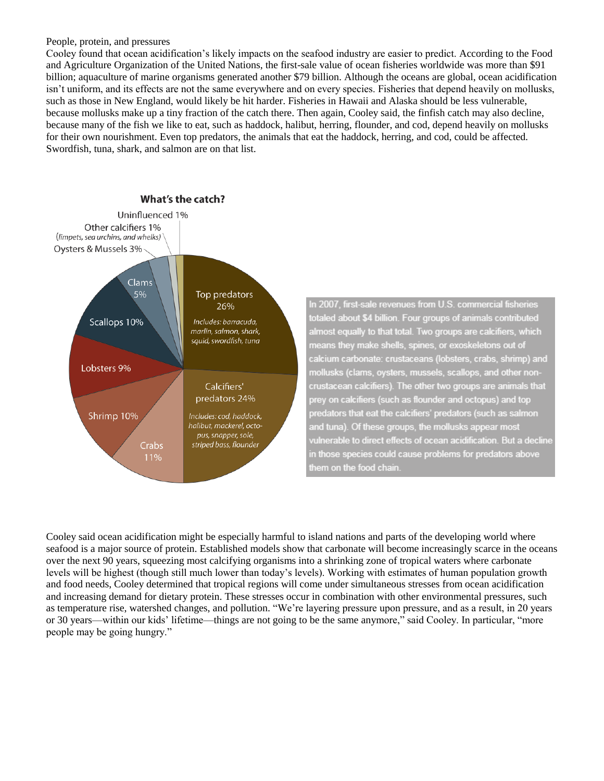#### People, protein, and pressures

Cooley found that ocean acidification's likely impacts on the seafood industry are easier to predict. According to the Food and Agriculture Organization of the United Nations, the first-sale value of ocean fisheries worldwide was more than \$91 billion; aquaculture of marine organisms generated another \$79 billion. Although the oceans are global, ocean acidification isn't uniform, and its effects are not the same everywhere and on every species. Fisheries that depend heavily on mollusks, such as those in New England, would likely be hit harder. Fisheries in Hawaii and Alaska should be less vulnerable, because mollusks make up a tiny fraction of the catch there. Then again, Cooley said, the finfish catch may also decline, because many of the fish we like to eat, such as haddock, halibut, herring, flounder, and cod, depend heavily on mollusks for their own nourishment. Even top predators, the animals that eat the haddock, herring, and cod, could be affected. Swordfish, tuna, shark, and salmon are on that list.



In 2007, first-sale revenues from U.S. commercial fisheries totaled about \$4 billion. Four groups of animals contributed almost equally to that total. Two groups are calcifiers, which means they make shells, spines, or exoskeletons out of calcium carbonate: crustaceans (lobsters, crabs, shrimp) and mollusks (clams, oysters, mussels, scallops, and other noncrustacean calcifiers). The other two groups are animals that prey on calcifiers (such as flounder and octopus) and top predators that eat the calcifiers' predators (such as salmon and tuna). Of these groups, the mollusks appear most vulnerable to direct effects of ocean acidification. But a decline in those species could cause problems for predators above them on the food chain.

Cooley said ocean acidification might be especially harmful to island nations and parts of the developing world where seafood is a major source of protein. Established models show that carbonate will become increasingly scarce in the oceans over the next 90 years, squeezing most calcifying organisms into a shrinking zone of tropical waters where carbonate levels will be highest (though still much lower than today's levels). Working with estimates of human population growth and food needs, Cooley determined that tropical regions will come under simultaneous stresses from ocean acidification and increasing demand for dietary protein. These stresses occur in combination with other environmental pressures, such as temperature rise, watershed changes, and pollution. "We're layering pressure upon pressure, and as a result, in 20 years or 30 years—within our kids' lifetime—things are not going to be the same anymore," said Cooley. In particular, "more people may be going hungry."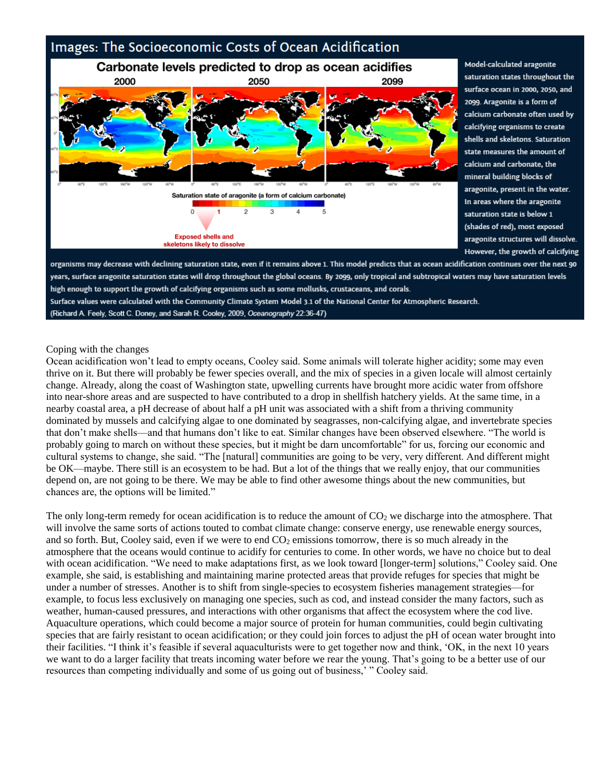

Model-calculated aragonite saturation states throughout the surface ocean in 2000, 2050, and 2099. Aragonite is a form of calcium carbonate often used by calcifying organisms to create shells and skeletons. Saturation state measures the amount of calcium and carbonate, the mineral building blocks of aragonite, present in the water. In areas where the aragonite saturation state is below 1 (shades of red), most exposed aragonite structures will dissolve. However, the growth of calcifying

organisms may decrease with declining saturation state, even if it remains above 1. This model predicts that as ocean acidification continues over the next 90 years, surface aragonite saturation states will drop throughout the global oceans. By 2099, only tropical and subtropical waters may have saturation levels high enough to support the growth of calcifying organisms such as some mollusks, crustaceans, and corals. Surface values were calculated with the Community Climate System Model 3.1 of the National Center for Atmospheric Research. (Richard A. Feely, Scott C. Doney, and Sarah R. Cooley, 2009, Oceanography 22:36-47)

### Coping with the changes

Ocean acidification won't lead to empty oceans, Cooley said. Some animals will tolerate higher acidity; some may even thrive on it. But there will probably be fewer species overall, and the mix of species in a given locale will almost certainly change. Already, along the coast of Washington state, upwelling currents have brought more acidic water from offshore into near-shore areas and are suspected to have contributed to a drop in shellfish hatchery yields. At the same time, in a nearby coastal area, a pH decrease of about half a pH unit was associated with a shift from a thriving community dominated by mussels and calcifying algae to one dominated by seagrasses, non-calcifying algae, and invertebrate species that don't make shells—and that humans don't like to eat. Similar changes have been observed elsewhere. "The world is probably going to march on without these species, but it might be darn uncomfortable" for us, forcing our economic and cultural systems to change, she said. "The [natural] communities are going to be very, very different. And different might be OK—maybe. There still is an ecosystem to be had. But a lot of the things that we really enjoy, that our communities depend on, are not going to be there. We may be able to find other awesome things about the new communities, but chances are, the options will be limited."

The only long-term remedy for ocean acidification is to reduce the amount of  $CO<sub>2</sub>$  we discharge into the atmosphere. That will involve the same sorts of actions touted to combat climate change: conserve energy, use renewable energy sources, and so forth. But, Cooley said, even if we were to end  $CO<sub>2</sub>$  emissions tomorrow, there is so much already in the atmosphere that the oceans would continue to acidify for centuries to come. In other words, we have no choice but to deal with ocean acidification. "We need to make adaptations first, as we look toward [longer-term] solutions," Cooley said. One example, she said, is establishing and maintaining marine protected areas that provide refuges for species that might be under a number of stresses. Another is to shift from single-species to ecosystem fisheries management strategies—for example, to focus less exclusively on managing one species, such as cod, and instead consider the many factors, such as weather, human-caused pressures, and interactions with other organisms that affect the ecosystem where the cod live. Aquaculture operations, which could become a major source of protein for human communities, could begin cultivating species that are fairly resistant to ocean acidification; or they could join forces to adjust the pH of ocean water brought into their facilities. "I think it's feasible if several aquaculturists were to get together now and think, 'OK, in the next 10 years we want to do a larger facility that treats incoming water before we rear the young. That's going to be a better use of our resources than competing individually and some of us going out of business,' " Cooley said.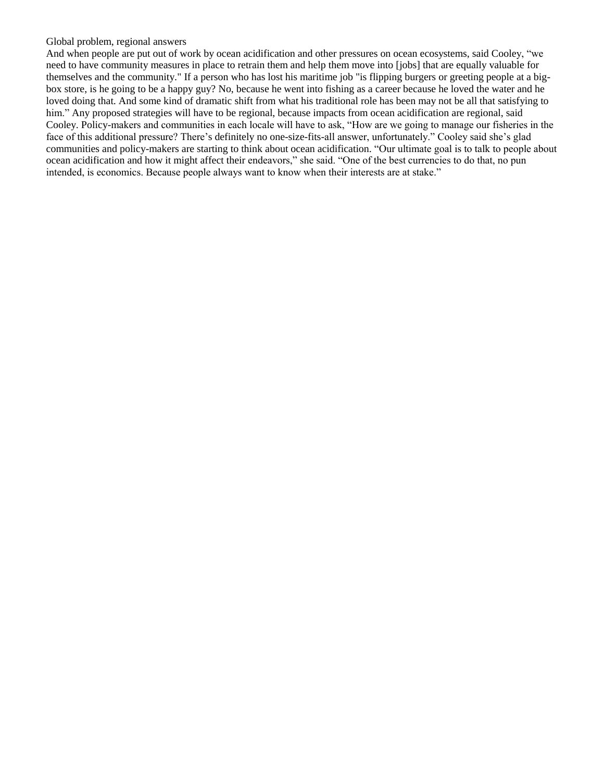#### Global problem, regional answers

And when people are put out of work by ocean acidification and other pressures on ocean ecosystems, said Cooley, "we need to have community measures in place to retrain them and help them move into [jobs] that are equally valuable for themselves and the community." If a person who has lost his maritime job "is flipping burgers or greeting people at a bigbox store, is he going to be a happy guy? No, because he went into fishing as a career because he loved the water and he loved doing that. And some kind of dramatic shift from what his traditional role has been may not be all that satisfying to him." Any proposed strategies will have to be regional, because impacts from ocean acidification are regional, said Cooley. Policy-makers and communities in each locale will have to ask, "How are we going to manage our fisheries in the face of this additional pressure? There's definitely no one-size-fits-all answer, unfortunately." Cooley said she's glad communities and policy-makers are starting to think about ocean acidification. "Our ultimate goal is to talk to people about ocean acidification and how it might affect their endeavors," she said. "One of the best currencies to do that, no pun intended, is economics. Because people always want to know when their interests are at stake."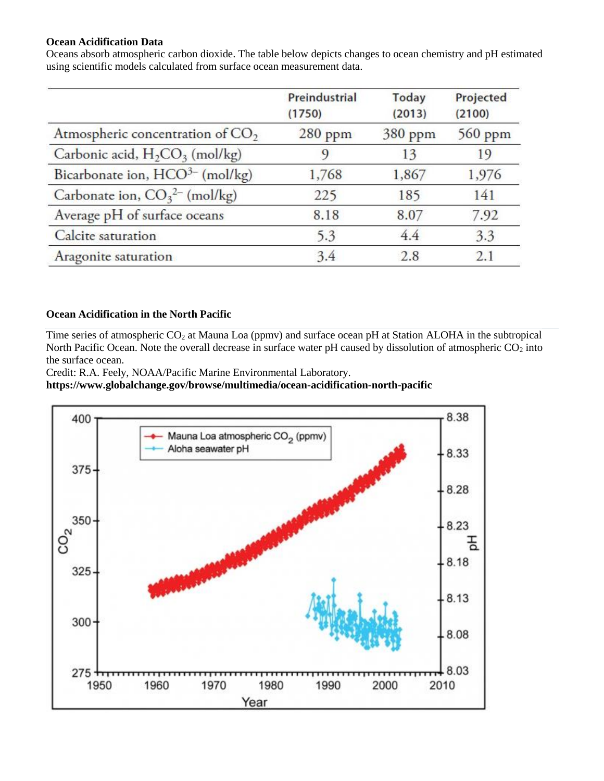## **Ocean Acidification Data**

Oceans absorb atmospheric carbon dioxide. The table below depicts changes to ocean chemistry and pH estimated using scientific models calculated from surface ocean measurement data.

|                                                        | Preindustrial<br>(1750) | <b>Today</b><br>(2013) | Projected<br>(2100) |
|--------------------------------------------------------|-------------------------|------------------------|---------------------|
| Atmospheric concentration of $CO2$                     | $280$ ppm               | 380 ppm                | 560 ppm             |
| Carbonic acid, H <sub>2</sub> CO <sub>3</sub> (mol/kg) | 9                       | 13                     | 19                  |
| Bicarbonate ion, HCO <sup>3-</sup> (mol/kg)            | 1,768                   | 1,867                  | 1,976               |
| Carbonate ion, $CO_3^{2-}$ (mol/kg)                    | 225                     | 185                    | 141                 |
| Average pH of surface oceans                           | 8.18                    | 8.07                   | 7.92                |
| Calcite saturation                                     | 5.3                     | 4.4                    | 3.3                 |
| Aragonite saturation                                   | 3.4                     | 2.8                    | 2.1                 |

# **Ocean Acidification in the North Pacific**

Time series of atmospheric  $CO_2$  at Mauna Loa (ppmv) and surface ocean pH at Station ALOHA in the subtropical North Pacific Ocean. Note the overall decrease in surface water pH caused by dissolution of atmospheric  $CO<sub>2</sub>$  into the surface ocean.

Credit: R.A. Feely, NOAA/Pacific Marine Environmental Laboratory.

## **https://www.globalchange.gov/browse/multimedia/ocean-acidification-north-pacific**